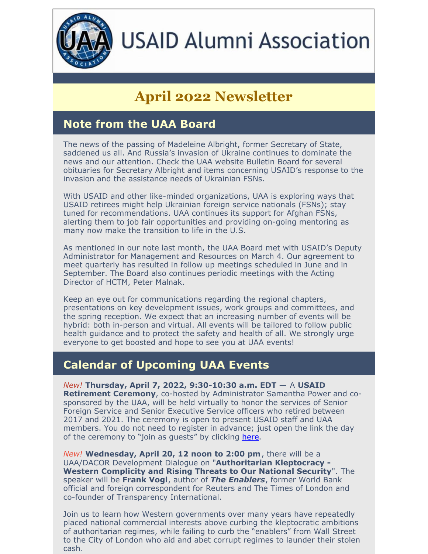

# **USAID Alumni Association**

## **April 2022 Newsletter**

#### **Note from the UAA Board**

The news of the passing of Madeleine Albright, former Secretary of State, saddened us all. And Russia's invasion of Ukraine continues to dominate the news and our attention. Check the UAA website Bulletin Board for several obituaries for Secretary Albright and items concerning USAID's response to the invasion and the assistance needs of Ukrainian FSNs.

With USAID and other like-minded organizations, UAA is exploring ways that USAID retirees might help Ukrainian foreign service nationals (FSNs); stay tuned for recommendations. UAA continues its support for Afghan FSNs, alerting them to job fair opportunities and providing on-going mentoring as many now make the transition to life in the U.S.

As mentioned in our note last month, the UAA Board met with USAID's Deputy Administrator for Management and Resources on March 4. Our agreement to meet quarterly has resulted in follow up meetings scheduled in June and in September. The Board also continues periodic meetings with the Acting Director of HCTM, Peter Malnak.

Keep an eye out for communications regarding the regional chapters, presentations on key development issues, work groups and committees, and the spring reception. We expect that an increasing number of events will be hybrid: both in-person and virtual. All events will be tailored to follow public health guidance and to protect the safety and health of all. We strongly urge everyone to get boosted and hope to see you at UAA events!

#### **Calendar of Upcoming UAA Events**

*New!* **Thursday, April 7, 2022, 9:30-10:30 a.m. EDT —** A **USAID Retirement Ceremony**, co-hosted by Administrator Samantha Power and cosponsored by the UAA, will be held virtually to honor the services of Senior Foreign Service and Senior Executive Service officers who retired between 2017 and 2021. The ceremony is open to present USAID staff and UAA members. You do not need to register in advance; just open the link the day of the ceremony to "join as quests" by clicking [here](https://primetime.bluejeans.com/a2m/live-event/bcpzhxuk).

*New!* **Wednesday, April 20, 12 noon to 2:00 pm**, there will be a UAA/DACOR Development Dialogue on "**Authoritarian Kleptocracy - Western Complicity and Rising Threats to Our National Security**". The speaker will be **Frank Vogl**, author of *The Enablers*, former World Bank official and foreign correspondent for Reuters and The Times of London and co-founder of Transparency International.

Join us to learn how Western governments over many years have repeatedly placed national commercial interests above curbing the kleptocratic ambitions of authoritarian regimes, while failing to curb the "enablers" from Wall Street to the City of London who aid and abet corrupt regimes to launder their stolen cash.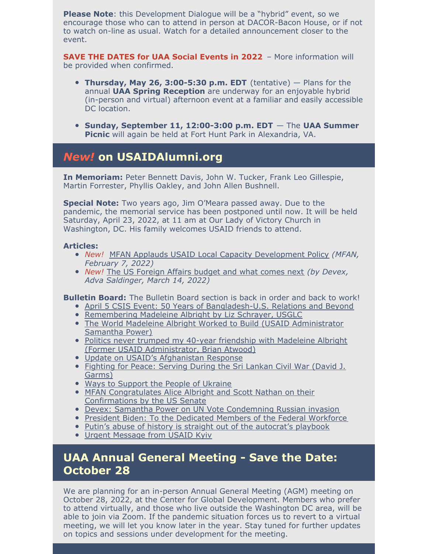**Please Note**: this Development Dialogue will be a "hybrid" event, so we encourage those who can to attend in person at DACOR-Bacon House, or if not to watch on-line as usual. Watch for a detailed announcement closer to the event.

**SAVE THE DATES for UAA Social Events in 2022** – More information will be provided when confirmed.

- **Thursday, May 26, 3:00-5:30 p.m. EDT** (tentative) Plans for the annual **UAA Spring Reception** are underway for an enjoyable hybrid (in-person and virtual) afternoon event at a familiar and easily accessible DC location.
- **Sunday, September 11, 12:00-3:00 p.m. EDT** The **UAA Summer Picnic** will again be held at Fort Hunt Park in Alexandria, VA.

#### *New!* **on USAIDAlumni.org**

**In Memoriam:** Peter Bennett Davis, John W. Tucker, Frank Leo Gillespie, Martin Forrester, Phyllis Oakley, and John Allen Bushnell.

**Special Note:** Two years ago, Jim O'Meara passed away. Due to the pandemic, the memorial service has been postponed until now. It will be held Saturday, April 23, 2022, at 11 am at Our Lady of Victory Church in Washington, DC. His family welcomes USAID friends to attend.

#### **Articles:**

- *New!* MFAN Applauds USAID Local Capacity [Development](http://modernizeaid.net/2022/02/mfan-applauds-usaid-local-capacity-development-policy/) Policy *(MFAN, February 7, 2022)*
- *New!* The US [Foreign](https://www.devex.com/news/the-us-foreign-affairs-budget-and-what-comes-next-102836) Affairs budget and what comes next *(by Devex, Adva Saldinger, March 14, 2022)*

**Bulletin Board:** The Bulletin Board section is back in order and back to work!

- April 5 CSIS Event: 50 Years of [Bangladesh-U.S.](https://pardot.csis.org/webmail/906722/548293283/a7c04d3a489edaaf19f5ad3341bf2782c863c9849728f9bcb9e5ee5999e7d4bf) Relations and Beyond
- [Remembering](https://usaidalumni.org/wp-content/uploads/2022/03/Remembering-Madeleine-Albright-2.pdf) Madeleine Albright by Liz Schrayer, USGLC
- The World Madeleine Albright Worked to Build (USAID [Administrator](https://usaidalumni.org/wp-content/uploads/2022/03/Power-on-Albright.pdf) Samantha Power)
- Politics never trumped my 40-year friendship with Madeleine Albright (Former USAID [Administrator,](https://usaidalumni.org/wp-content/uploads/2022/03/Atwood-on-Albright.pdf) Brian Atwood)
- Update on USAID's [Afghanistan](https://usaidalumni.org/wp-content/uploads/2022/03/Update-on-USAID-Afghan-Response.pdf) Response
- [Fighting](https://usaidalumni.org/wp-content/uploads/2022/03/Fighting-for-Peace-Garms.-docx.pdf) for Peace: Serving During the Sri Lankan Civil War (David J. Garms)
- Ways to [Support](http://www.dacorbacon.org/docs/Ways_to_Support_the_People_of_Ukraine.pdf) the People of Ukraine
- MFAN [Congratulates](https://usaidalumni.org/wp-content/uploads/2022/03/MFAN-Congratulates-.pdf) Alice Albright and Scott Nathan on their Confirmations by the US Senate
- Devex: Samantha Power on UN Vote [Condemning](https://usaidalumni.org/wp-content/uploads/2022/03/Samantha-Power-on-UN-vote.pdf) Russian invasion
- President Biden: To the Dedicated Members of the Federal [Workforce](https://content.govdelivery.com/attachments/USAIDHQ/2022/03/01/file_attachments/2090146/Letter to the Federal Workforce_20220301.pdf)
- Putin's abuse of history is straight out of the [autocrat's](https://usaidalumni.org/wp-content/uploads/2022/03/Putinabuse-of-history.pdf) playbook
- Urgent [Message](https://usaidalumni.org/wp-content/uploads/2022/02/KyivMessageFSOs.pdf) from USAID Kyiv

#### **UAA Annual General Meeting - Save the Date: October 28**

We are planning for an in-person Annual General Meeting (AGM) meeting on October 28, 2022, at the Center for Global Development. Members who prefer to attend virtually, and those who live outside the Washington DC area, will be able to join via Zoom. If the pandemic situation forces us to revert to a virtual meeting, we will let you know later in the year. Stay tuned for further updates on topics and sessions under development for the meeting.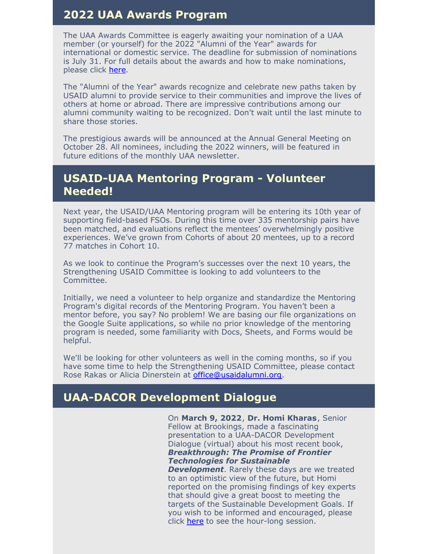#### **2022 UAA Awards Program**

The UAA Awards Committee is eagerly awaiting your nomination of a UAA member (or yourself) for the 2022 "Alumni of the Year" awards for international or domestic service. The deadline for submission of nominations is July 31. For full details about the awards and how to make nominations, please click [here](https://usaidalumni.org/alumni-awards/).

The "Alumni of the Year" awards recognize and celebrate new paths taken by USAID alumni to provide service to their communities and improve the lives of others at home or abroad. There are impressive contributions among our alumni community waiting to be recognized. Don't wait until the last minute to share those stories.

The prestigious awards will be announced at the Annual General Meeting on October 28. All nominees, including the 2022 winners, will be featured in future editions of the monthly UAA newsletter.

#### **USAID-UAA Mentoring Program - Volunteer Needed!**

Next year, the USAID/UAA Mentoring program will be entering its 10th year of supporting field-based FSOs. During this time over 335 mentorship pairs have been matched, and evaluations reflect the mentees' overwhelmingly positive experiences. We've grown from Cohorts of about 20 mentees, up to a record 77 matches in Cohort 10.

As we look to continue the Program's successes over the next 10 years, the Strengthening USAID Committee is looking to add volunteers to the Committee.

Initially, we need a volunteer to help organize and standardize the Mentoring Program's digital records of the Mentoring Program. You haven't been a mentor before, you say? No problem! We are basing our file organizations on the Google Suite applications, so while no prior knowledge of the mentoring program is needed, some familiarity with Docs, Sheets, and Forms would be helpful.

We'll be looking for other volunteers as well in the coming months, so if you have some time to help the Strengthening USAID Committee, please contact Rose Rakas or Alicia Dinerstein at [office@usaidalumni.org](mailto:office@usaidalumni.org).

#### **UAA-DACOR Development Dialogue**

On **March 9, 2022**, **Dr. Homi Kharas**, Senior Fellow at Brookings, made a fascinating presentation to a UAA-DACOR Development Dialogue (virtual) about his most recent book, *Breakthrough: The Promise of Frontier Technologies for Sustainable*

*Development*. Rarely these days are we treated to an optimistic view of the future, but Homi reported on the promising findings of key experts that should give a great boost to meeting the targets of the Sustainable Development Goals. If you wish to be informed and encouraged, please click [here](https://vimeo.com/686763036/d77f126353) to see the hour-long session.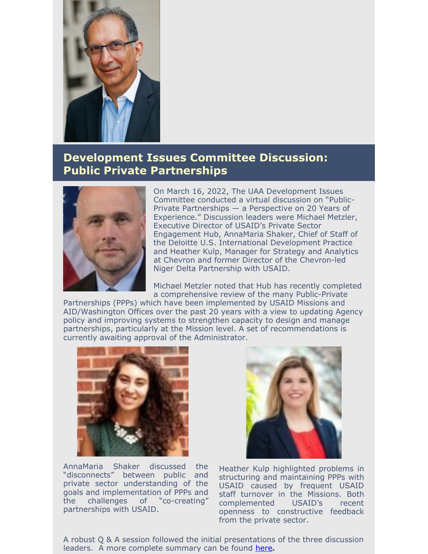

### **Development Issues Committee Discussion: Public Private Partnerships**



On March 16, 2022, The UAA Development Issues Committee conducted a virtual discussion on "Public-Private Partnerships — a Perspective on 20 Years of Experience." Discussion leaders were Michael Metzler, Executive Director of USAID's Private Sector Engagement Hub, AnnaMaria Shaker, Chief of Staff of the Deloitte U.S. International Development Practice and Heather Kulp, Manager for Strategy and Analytics at Chevron and former Director of the Chevron-led Niger Delta Partnership with USAID.

Michael Metzler noted that Hub has recently completed a comprehensive review of the many Public-Private

Partnerships (PPPs) which have been implemented by USAID Missions and AID/Washington Offices over the past 20 years with a view to updating Agency policy and improving systems to strengthen capacity to design and manage partnerships, particularly at the Mission level. A set of recommendations is currently awaiting approval of the Administrator.



AnnaMaria Shaker discussed the "disconnects" between public and private sector understanding of the goals and implementation of PPPs and the challenges of "co-creating" partnerships with USAID.



Heather Kulp highlighted problems in structuring and maintaining PPPs with USAID caused by frequent USAID staff turnover in the Missions. Both complemented USAID's recent openness to constructive feedback from the private sector.

A robust Q & A session followed the initial presentations of the three discussion leaders. A more complete summary can be found [here](https://usaidalumni.org/wp-content/uploads/2022/03/Summary-Record-March-2022-2-1.pdf)**.**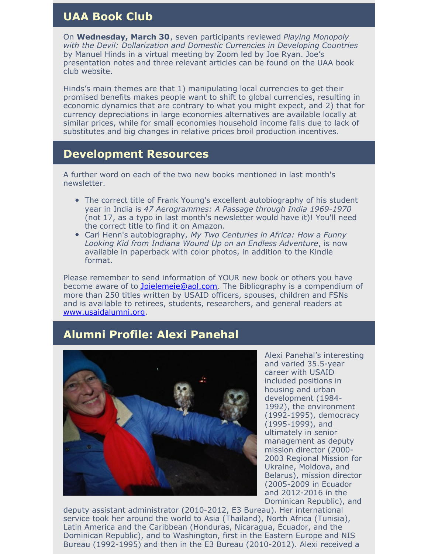#### **UAA Book Club**

On **Wednesday, March 30**, seven participants reviewed *Playing Monopoly with the Devil: Dollarization and Domestic Currencies in Developing Countries* by Manuel Hinds in a virtual meeting by Zoom led by Joe Ryan. Joe's presentation notes and three relevant articles can be found on the UAA book club website.

Hinds's main themes are that 1) manipulating local currencies to get their promised benefits makes people want to shift to global currencies, resulting in economic dynamics that are contrary to what you might expect, and 2) that for currency depreciations in large economies alternatives are available locally at similar prices, while for small economies household income falls due to lack of substitutes and big changes in relative prices broil production incentives.

#### **Development Resources**

A further word on each of the two new books mentioned in last month's newsletter.

- The correct title of Frank Young's excellent autobiography of his student year in India is *47 Aerogrammes: A Passage through India 1969-1970* (not 17, as a typo in last month's newsletter would have it)! You'll need the correct title to find it on Amazon.
- Carl Henn's autobiography, *My Two Centuries in Africa: How a Funny Looking Kid from Indiana Wound Up on an Endless Adventure*, is now available in paperback with color photos, in addition to the Kindle format.

Please remember to send information of YOUR new book or others you have become aware of to [Jpielemeie@aol.com](mailto:Jpielemeie@aol.com). The Bibliography is a compendium of more than 250 titles written by USAID officers, spouses, children and FSNs and is available to retirees, students, researchers, and general readers at [www.usaidalumni.org](http://www.usaidalumni.org/).

### **Alumni Profile: Alexi Panehal**



Alexi Panehal's interesting and varied 35.5-year career with USAID included positions in housing and urban development (1984- 1992), the environment (1992-1995), democracy (1995-1999), and ultimately in senior management as deputy mission director (2000- 2003 Regional Mission for Ukraine, Moldova, and Belarus), mission director (2005-2009 in Ecuador and 2012-2016 in the Dominican Republic), and

deputy assistant administrator (2010-2012, E3 Bureau). Her international service took her around the world to Asia (Thailand), North Africa (Tunisia), Latin America and the Caribbean (Honduras, Nicaragua, Ecuador, and the Dominican Republic), and to Washington, first in the Eastern Europe and NIS Bureau (1992-1995) and then in the E3 Bureau (2010-2012). Alexi received a